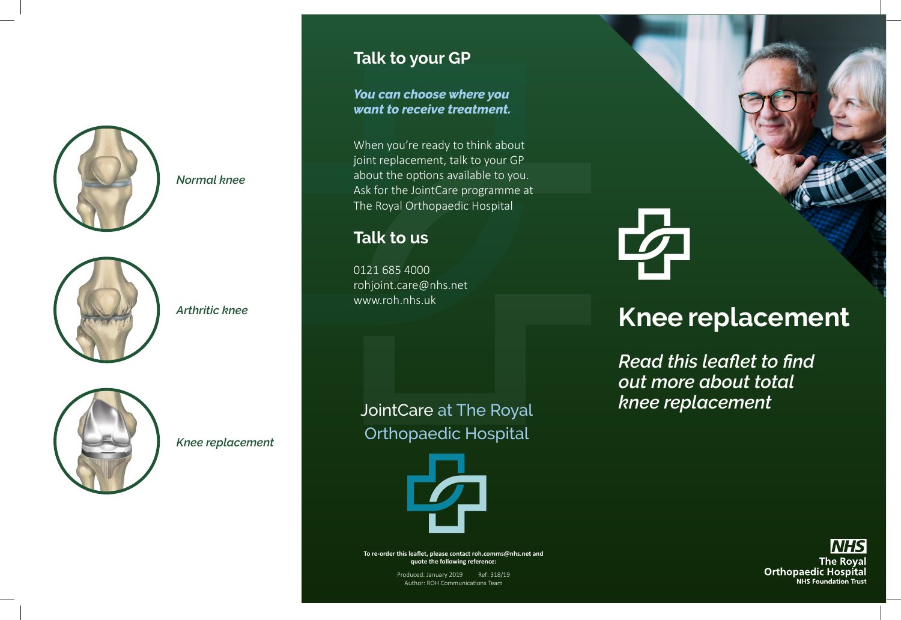

*Normal knee*



*Arthritic knee*



*Knee replacement*

# **Talk to your GP**

*You can choose where you want to receive treatment.* 

When you're ready to think about joint replacement, talk to your GP about the options available to you. Ask for the JointCare programme at The Royal Orthopaedic Hospital

### **Talk to us**

0121 685 4000 rohjoint.care@nhs.net www.roh.nhs.uk

JointCare at The Royal Orthopaedic Hospital



**To re-order this leaflet, please contact roh.comms@nhs.net and quote the following reference:**

> Produced: January 2019 Ref: 318/19 Author: ROH Communications Team

# **Knee replacement**

*Read this leaflet to find out more about total knee replacement*